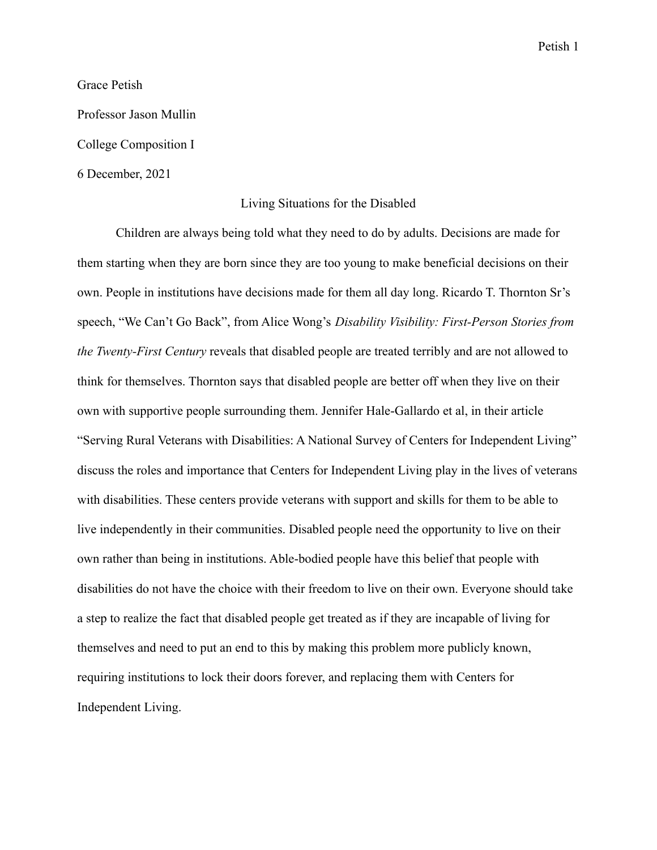Petish 1

Grace Petish

Professor Jason Mullin

College Composition I

6 December, 2021

## Living Situations for the Disabled

Children are always being told what they need to do by adults. Decisions are made for them starting when they are born since they are too young to make beneficial decisions on their own. People in institutions have decisions made for them all day long. Ricardo T. Thornton Sr's speech, "We Can't Go Back", from Alice Wong's *Disability Visibility: First-Person Stories from the Twenty-First Century* reveals that disabled people are treated terribly and are not allowed to think for themselves. Thornton says that disabled people are better off when they live on their own with supportive people surrounding them. Jennifer Hale-Gallardo et al, in their article "Serving Rural Veterans with Disabilities: A National Survey of Centers for Independent Living" discuss the roles and importance that Centers for Independent Living play in the lives of veterans with disabilities. These centers provide veterans with support and skills for them to be able to live independently in their communities. Disabled people need the opportunity to live on their own rather than being in institutions. Able-bodied people have this belief that people with disabilities do not have the choice with their freedom to live on their own. Everyone should take a step to realize the fact that disabled people get treated as if they are incapable of living for themselves and need to put an end to this by making this problem more publicly known, requiring institutions to lock their doors forever, and replacing them with Centers for Independent Living.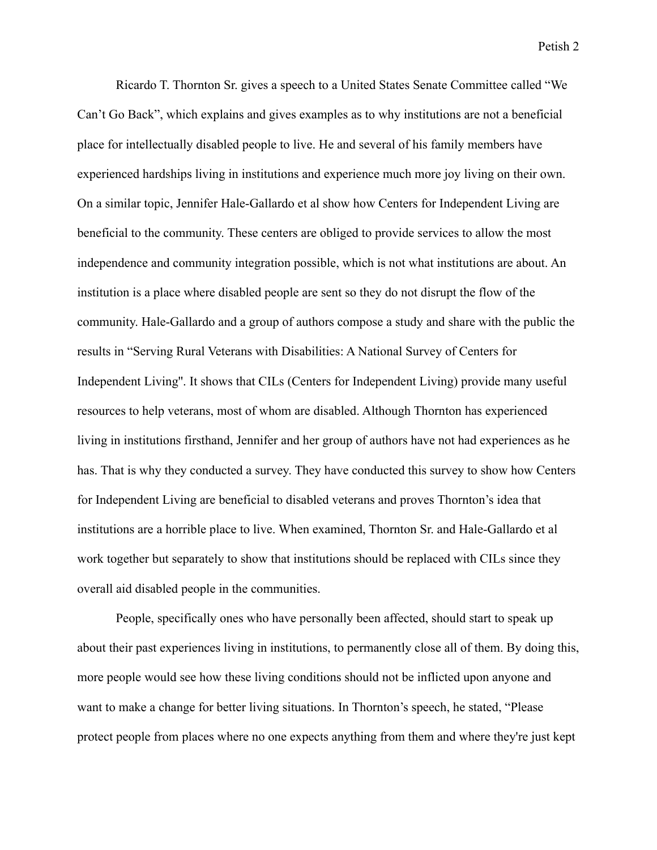Ricardo T. Thornton Sr. gives a speech to a United States Senate Committee called "We Can't Go Back", which explains and gives examples as to why institutions are not a beneficial place for intellectually disabled people to live. He and several of his family members have experienced hardships living in institutions and experience much more joy living on their own. On a similar topic, Jennifer Hale-Gallardo et al show how Centers for Independent Living are beneficial to the community. These centers are obliged to provide services to allow the most independence and community integration possible, which is not what institutions are about. An institution is a place where disabled people are sent so they do not disrupt the flow of the community. Hale-Gallardo and a group of authors compose a study and share with the public the results in "Serving Rural Veterans with Disabilities: A National Survey of Centers for Independent Living''. It shows that CILs (Centers for Independent Living) provide many useful resources to help veterans, most of whom are disabled. Although Thornton has experienced living in institutions firsthand, Jennifer and her group of authors have not had experiences as he has. That is why they conducted a survey. They have conducted this survey to show how Centers for Independent Living are beneficial to disabled veterans and proves Thornton's idea that institutions are a horrible place to live. When examined, Thornton Sr. and Hale-Gallardo et al work together but separately to show that institutions should be replaced with CILs since they overall aid disabled people in the communities.

People, specifically ones who have personally been affected, should start to speak up about their past experiences living in institutions, to permanently close all of them. By doing this, more people would see how these living conditions should not be inflicted upon anyone and want to make a change for better living situations. In Thornton's speech, he stated, "Please protect people from places where no one expects anything from them and where they're just kept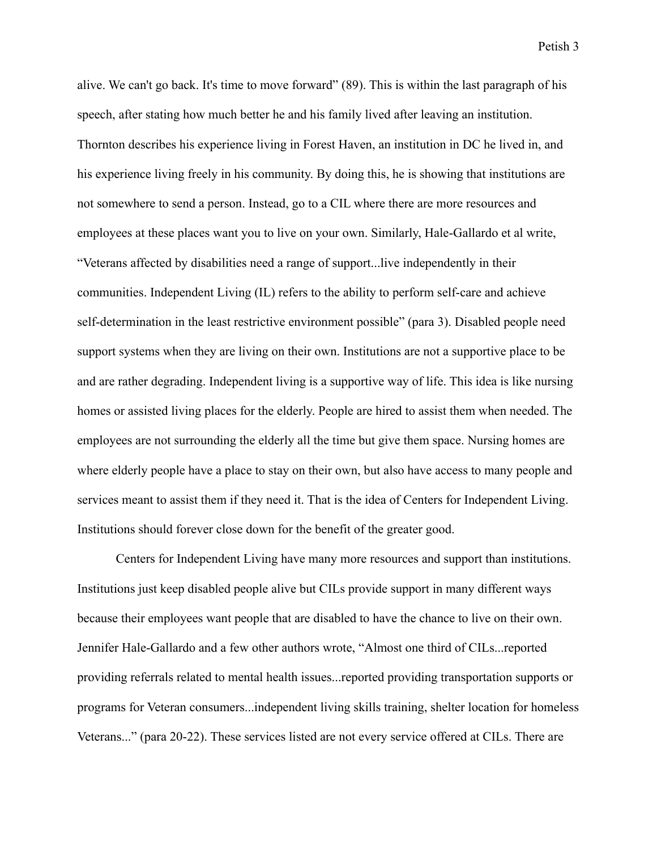alive. We can't go back. It's time to move forward" (89). This is within the last paragraph of his speech, after stating how much better he and his family lived after leaving an institution. Thornton describes his experience living in Forest Haven, an institution in DC he lived in, and his experience living freely in his community. By doing this, he is showing that institutions are not somewhere to send a person. Instead, go to a CIL where there are more resources and employees at these places want you to live on your own. Similarly, Hale-Gallardo et al write, "Veterans affected by disabilities need a range of support...live independently in their communities. Independent Living (IL) refers to the ability to perform self-care and achieve self-determination in the least restrictive environment possible" (para 3). Disabled people need support systems when they are living on their own. Institutions are not a supportive place to be and are rather degrading. Independent living is a supportive way of life. This idea is like nursing homes or assisted living places for the elderly. People are hired to assist them when needed. The employees are not surrounding the elderly all the time but give them space. Nursing homes are where elderly people have a place to stay on their own, but also have access to many people and services meant to assist them if they need it. That is the idea of Centers for Independent Living. Institutions should forever close down for the benefit of the greater good.

Centers for Independent Living have many more resources and support than institutions. Institutions just keep disabled people alive but CILs provide support in many different ways because their employees want people that are disabled to have the chance to live on their own. Jennifer Hale-Gallardo and a few other authors wrote, "Almost one third of CILs...reported providing referrals related to mental health issues...reported providing transportation supports or programs for Veteran consumers...independent living skills training, shelter location for homeless Veterans..." (para 20-22). These services listed are not every service offered at CILs. There are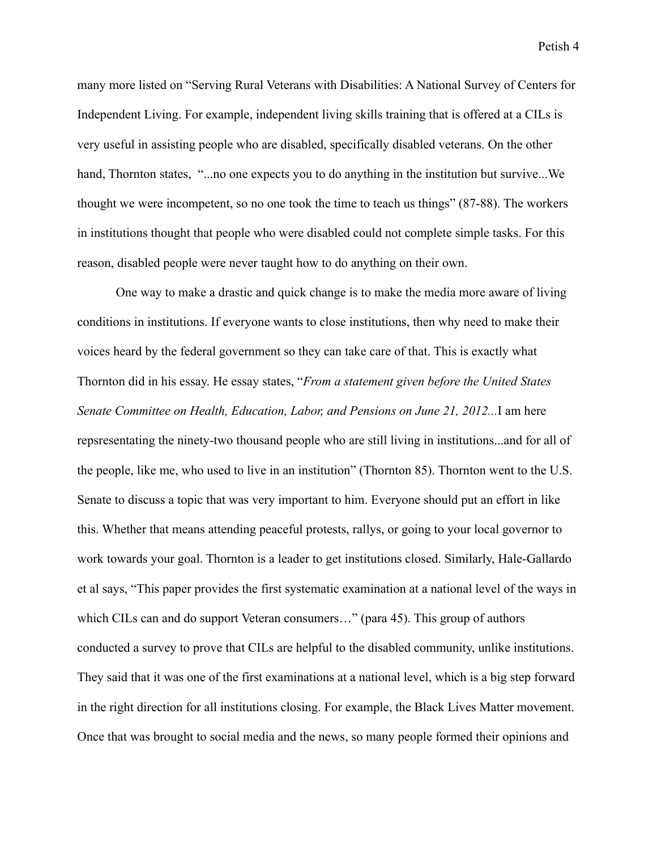Petish 4

many more listed on "Serving Rural Veterans with Disabilities: A National Survey of Centers for Independent Living. For example, independent living skills training that is offered at a CILs is very useful in assisting people who are disabled, specifically disabled veterans. On the other hand, Thornton states, "...no one expects you to do anything in the institution but survive...We thought we were incompetent, so no one took the time to teach us things" (87-88). The workers in institutions thought that people who were disabled could not complete simple tasks. For this reason, disabled people were never taught how to do anything on their own.

One way to make a drastic and quick change is to make the media more aware of living conditions in institutions. If everyone wants to close institutions, then why need to make their voices heard by the federal government so they can take care of that. This is exactly what Thornton did in his essay. He essay states, "*From a statement given before the United States Senate Committee on Health, Education, Labor, and Pensions on June 21, 2012...*I am here repsresentating the ninety-two thousand people who are still living in institutions...and for all of the people, like me, who used to live in an institution" (Thornton 85). Thornton went to the U.S. Senate to discuss a topic that was very important to him. Everyone should put an effort in like this. Whether that means attending peaceful protests, rallys, or going to your local governor to work towards your goal. Thornton is a leader to get institutions closed. Similarly, Hale-Gallardo et al says, "This paper provides the first systematic examination at a national level of the ways in which CILs can and do support Veteran consumers..." (para 45). This group of authors conducted a survey to prove that CILs are helpful to the disabled community, unlike institutions. They said that it was one of the first examinations at a national level, which is a big step forward in the right direction for all institutions closing. For example, the Black Lives Matter movement. Once that was brought to social media and the news, so many people formed their opinions and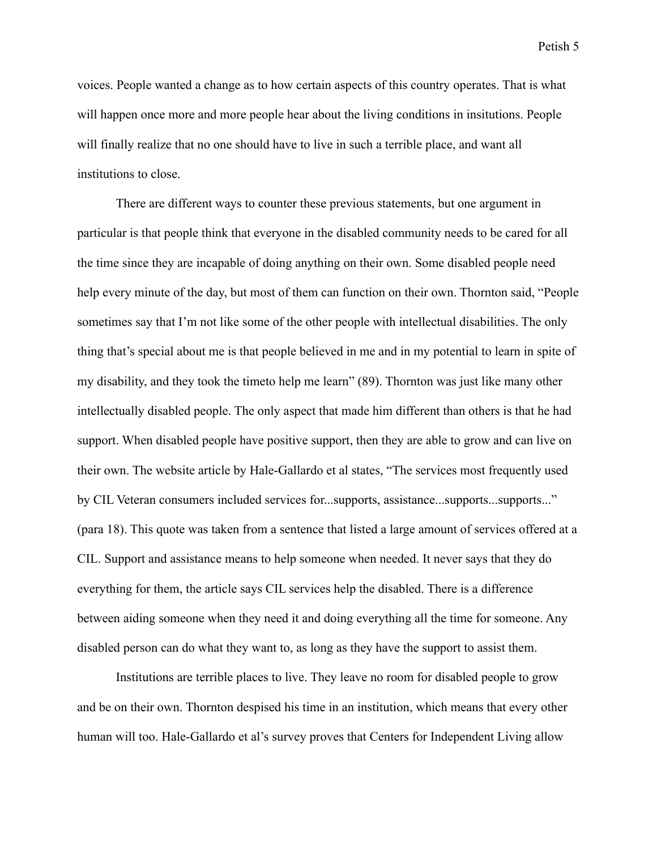voices. People wanted a change as to how certain aspects of this country operates. That is what will happen once more and more people hear about the living conditions in insitutions. People will finally realize that no one should have to live in such a terrible place, and want all institutions to close.

There are different ways to counter these previous statements, but one argument in particular is that people think that everyone in the disabled community needs to be cared for all the time since they are incapable of doing anything on their own. Some disabled people need help every minute of the day, but most of them can function on their own. Thornton said, "People sometimes say that I'm not like some of the other people with intellectual disabilities. The only thing that's special about me is that people believed in me and in my potential to learn in spite of my disability, and they took the timeto help me learn" (89). Thornton was just like many other intellectually disabled people. The only aspect that made him different than others is that he had support. When disabled people have positive support, then they are able to grow and can live on their own. The website article by Hale-Gallardo et al states, "The services most frequently used by CIL Veteran consumers included services for...supports, assistance...supports...supports..." (para 18). This quote was taken from a sentence that listed a large amount of services offered at a CIL. Support and assistance means to help someone when needed. It never says that they do everything for them, the article says CIL services help the disabled. There is a difference between aiding someone when they need it and doing everything all the time for someone. Any disabled person can do what they want to, as long as they have the support to assist them.

Institutions are terrible places to live. They leave no room for disabled people to grow and be on their own. Thornton despised his time in an institution, which means that every other human will too. Hale-Gallardo et al's survey proves that Centers for Independent Living allow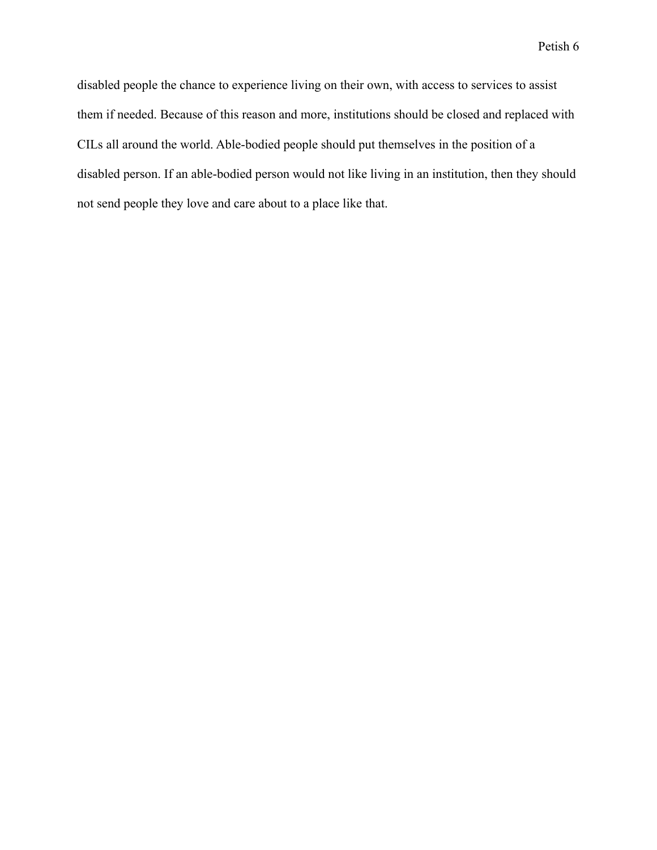disabled people the chance to experience living on their own, with access to services to assist them if needed. Because of this reason and more, institutions should be closed and replaced with CILs all around the world. Able-bodied people should put themselves in the position of a disabled person. If an able-bodied person would not like living in an institution, then they should not send people they love and care about to a place like that.